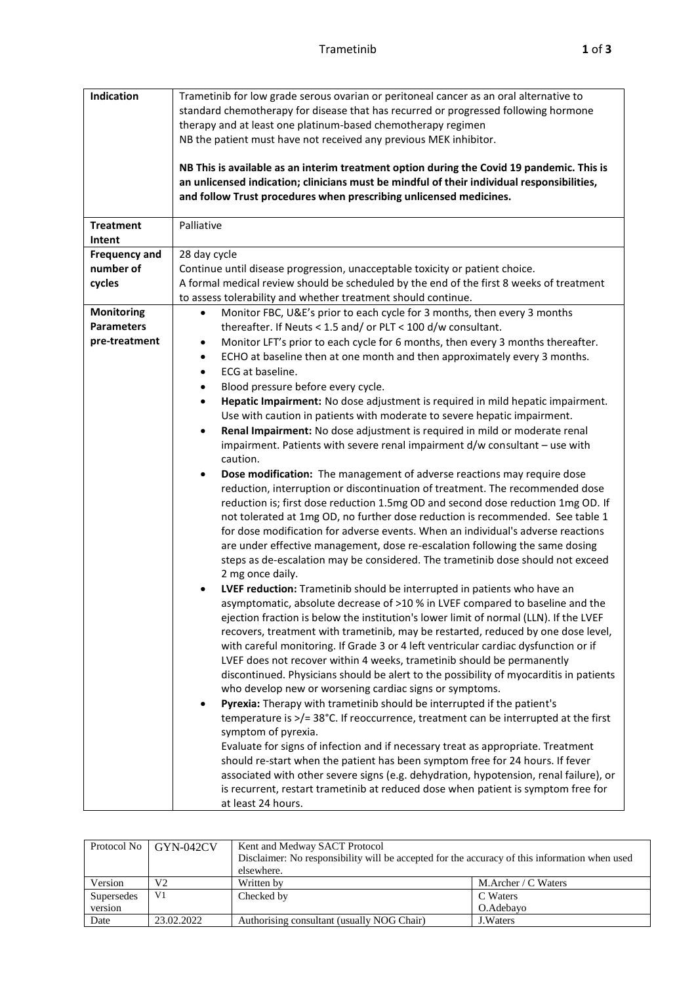| Indication                                       | Trametinib for low grade serous ovarian or peritoneal cancer as an oral alternative to<br>standard chemotherapy for disease that has recurred or progressed following hormone<br>therapy and at least one platinum-based chemotherapy regimen<br>NB the patient must have not received any previous MEK inhibitor.<br>NB This is available as an interim treatment option during the Covid 19 pandemic. This is<br>an unlicensed indication; clinicians must be mindful of their individual responsibilities,                                                                                                                                                 |
|--------------------------------------------------|---------------------------------------------------------------------------------------------------------------------------------------------------------------------------------------------------------------------------------------------------------------------------------------------------------------------------------------------------------------------------------------------------------------------------------------------------------------------------------------------------------------------------------------------------------------------------------------------------------------------------------------------------------------|
|                                                  | and follow Trust procedures when prescribing unlicensed medicines.                                                                                                                                                                                                                                                                                                                                                                                                                                                                                                                                                                                            |
| <b>Treatment</b><br>Intent                       | Palliative                                                                                                                                                                                                                                                                                                                                                                                                                                                                                                                                                                                                                                                    |
| <b>Frequency and</b><br>number of<br>cycles      | 28 day cycle<br>Continue until disease progression, unacceptable toxicity or patient choice.<br>A formal medical review should be scheduled by the end of the first 8 weeks of treatment                                                                                                                                                                                                                                                                                                                                                                                                                                                                      |
| Monitoring<br><b>Parameters</b><br>pre-treatment | to assess tolerability and whether treatment should continue.<br>Monitor FBC, U&E's prior to each cycle for 3 months, then every 3 months<br>$\bullet$<br>thereafter. If Neuts < 1.5 and/ or PLT < 100 d/w consultant.<br>Monitor LFT's prior to each cycle for 6 months, then every 3 months thereafter.<br>٠<br>ECHO at baseline then at one month and then approximately every 3 months.<br>$\bullet$<br>ECG at baseline.<br>$\bullet$                                                                                                                                                                                                                     |
|                                                  | Blood pressure before every cycle.<br>٠<br>Hepatic Impairment: No dose adjustment is required in mild hepatic impairment.<br>$\bullet$<br>Use with caution in patients with moderate to severe hepatic impairment.<br>Renal Impairment: No dose adjustment is required in mild or moderate renal<br>$\bullet$<br>impairment. Patients with severe renal impairment d/w consultant - use with<br>caution.<br>Dose modification: The management of adverse reactions may require dose<br>$\bullet$                                                                                                                                                              |
|                                                  | reduction, interruption or discontinuation of treatment. The recommended dose<br>reduction is; first dose reduction 1.5mg OD and second dose reduction 1mg OD. If<br>not tolerated at 1mg OD, no further dose reduction is recommended. See table 1<br>for dose modification for adverse events. When an individual's adverse reactions<br>are under effective management, dose re-escalation following the same dosing<br>steps as de-escalation may be considered. The trametinib dose should not exceed<br>2 mg once daily.                                                                                                                                |
|                                                  | LVEF reduction: Trametinib should be interrupted in patients who have an<br>asymptomatic, absolute decrease of >10 % in LVEF compared to baseline and the<br>ejection fraction is below the institution's lower limit of normal (LLN). If the LVEF<br>recovers, treatment with trametinib, may be restarted, reduced by one dose level,<br>with careful monitoring. If Grade 3 or 4 left ventricular cardiac dysfunction or if<br>LVEF does not recover within 4 weeks, trametinib should be permanently<br>discontinued. Physicians should be alert to the possibility of myocarditis in patients<br>who develop new or worsening cardiac signs or symptoms. |
|                                                  | Pyrexia: Therapy with trametinib should be interrupted if the patient's<br>$\bullet$<br>temperature is >/= 38°C. If reoccurrence, treatment can be interrupted at the first<br>symptom of pyrexia.<br>Evaluate for signs of infection and if necessary treat as appropriate. Treatment<br>should re-start when the patient has been symptom free for 24 hours. If fever<br>associated with other severe signs (e.g. dehydration, hypotension, renal failure), or<br>is recurrent, restart trametinib at reduced dose when patient is symptom free for<br>at least 24 hours.                                                                                   |

| Protocol No | $GYN-042CV$    | Kent and Medway SACT Protocol                                                                 |                            |  |
|-------------|----------------|-----------------------------------------------------------------------------------------------|----------------------------|--|
|             |                | Disclaimer: No responsibility will be accepted for the accuracy of this information when used |                            |  |
|             |                | elsewhere.                                                                                    |                            |  |
| Version     | V2             | Written by                                                                                    | M. Archer / $\rm C$ Waters |  |
| Supersedes  | V <sub>1</sub> | Checked by                                                                                    | C Waters                   |  |
| version     |                |                                                                                               | O.Adebavo                  |  |
| Date        | 23.02.2022     | Authorising consultant (usually NOG Chair)                                                    | J. Waters                  |  |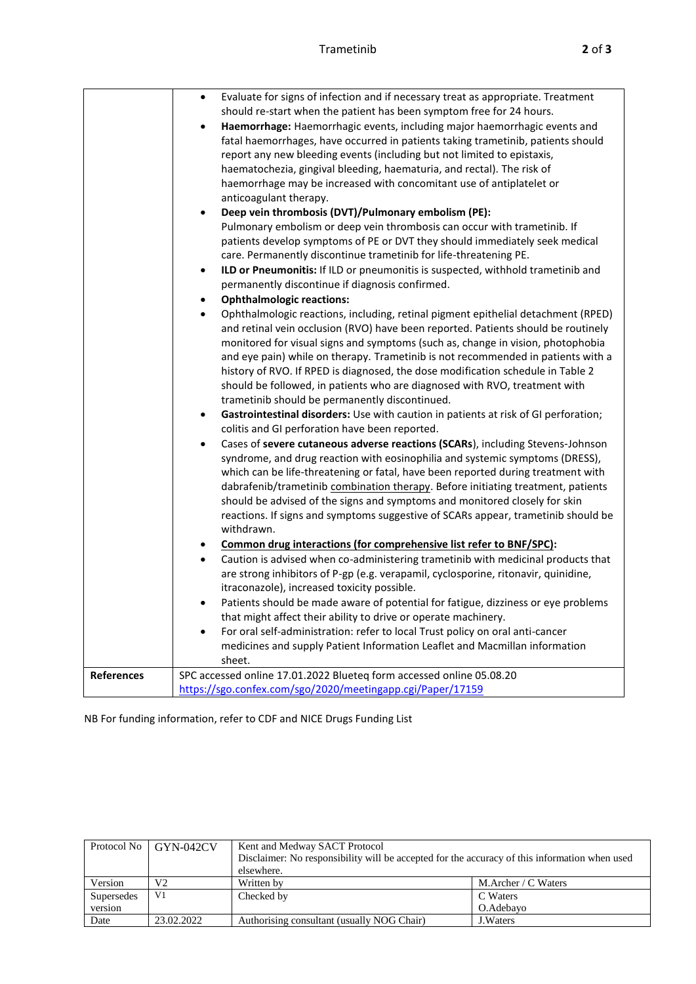|                   | Evaluate for signs of infection and if necessary treat as appropriate. Treatment<br>$\bullet$  |  |  |  |
|-------------------|------------------------------------------------------------------------------------------------|--|--|--|
|                   | should re-start when the patient has been symptom free for 24 hours.                           |  |  |  |
|                   | Haemorrhage: Haemorrhagic events, including major haemorrhagic events and<br>$\bullet$         |  |  |  |
|                   | fatal haemorrhages, have occurred in patients taking trametinib, patients should               |  |  |  |
|                   | report any new bleeding events (including but not limited to epistaxis,                        |  |  |  |
|                   | haematochezia, gingival bleeding, haematuria, and rectal). The risk of                         |  |  |  |
|                   | haemorrhage may be increased with concomitant use of antiplatelet or                           |  |  |  |
|                   | anticoagulant therapy.                                                                         |  |  |  |
|                   | Deep vein thrombosis (DVT)/Pulmonary embolism (PE):<br>$\bullet$                               |  |  |  |
|                   | Pulmonary embolism or deep vein thrombosis can occur with trametinib. If                       |  |  |  |
|                   | patients develop symptoms of PE or DVT they should immediately seek medical                    |  |  |  |
|                   | care. Permanently discontinue trametinib for life-threatening PE.                              |  |  |  |
|                   | ILD or Pneumonitis: If ILD or pneumonitis is suspected, withhold trametinib and<br>$\bullet$   |  |  |  |
|                   | permanently discontinue if diagnosis confirmed.                                                |  |  |  |
|                   | <b>Ophthalmologic reactions:</b>                                                               |  |  |  |
|                   | Ophthalmologic reactions, including, retinal pigment epithelial detachment (RPED)<br>$\bullet$ |  |  |  |
|                   | and retinal vein occlusion (RVO) have been reported. Patients should be routinely              |  |  |  |
|                   | monitored for visual signs and symptoms (such as, change in vision, photophobia                |  |  |  |
|                   | and eye pain) while on therapy. Trametinib is not recommended in patients with a               |  |  |  |
|                   | history of RVO. If RPED is diagnosed, the dose modification schedule in Table 2                |  |  |  |
|                   | should be followed, in patients who are diagnosed with RVO, treatment with                     |  |  |  |
|                   | trametinib should be permanently discontinued.                                                 |  |  |  |
|                   | Gastrointestinal disorders: Use with caution in patients at risk of GI perforation;            |  |  |  |
|                   | colitis and GI perforation have been reported.                                                 |  |  |  |
|                   | Cases of severe cutaneous adverse reactions (SCARs), including Stevens-Johnson                 |  |  |  |
|                   | $\bullet$                                                                                      |  |  |  |
|                   | syndrome, and drug reaction with eosinophilia and systemic symptoms (DRESS),                   |  |  |  |
|                   | which can be life-threatening or fatal, have been reported during treatment with               |  |  |  |
|                   | dabrafenib/trametinib combination therapy. Before initiating treatment, patients               |  |  |  |
|                   | should be advised of the signs and symptoms and monitored closely for skin                     |  |  |  |
|                   | reactions. If signs and symptoms suggestive of SCARs appear, trametinib should be              |  |  |  |
|                   | withdrawn.                                                                                     |  |  |  |
|                   | Common drug interactions (for comprehensive list refer to BNF/SPC):                            |  |  |  |
|                   | Caution is advised when co-administering trametinib with medicinal products that<br>$\bullet$  |  |  |  |
|                   | are strong inhibitors of P-gp (e.g. verapamil, cyclosporine, ritonavir, quinidine,             |  |  |  |
|                   | itraconazole), increased toxicity possible.                                                    |  |  |  |
|                   | Patients should be made aware of potential for fatigue, dizziness or eye problems              |  |  |  |
|                   | that might affect their ability to drive or operate machinery.                                 |  |  |  |
|                   | For oral self-administration: refer to local Trust policy on oral anti-cancer<br>$\bullet$     |  |  |  |
|                   | medicines and supply Patient Information Leaflet and Macmillan information                     |  |  |  |
|                   | sheet.                                                                                         |  |  |  |
| <b>References</b> | SPC accessed online 17.01.2022 Blueteq form accessed online 05.08.20                           |  |  |  |
|                   | https://sgo.confex.com/sgo/2020/meetingapp.cgi/Paper/17159                                     |  |  |  |

NB For funding information, refer to CDF and NICE Drugs Funding List

|            | Protocol No   GYN-042CV | Kent and Medway SACT Protocol                                                                 |                                      |  |
|------------|-------------------------|-----------------------------------------------------------------------------------------------|--------------------------------------|--|
|            |                         | Disclaimer: No responsibility will be accepted for the accuracy of this information when used |                                      |  |
|            |                         | elsewhere.                                                                                    |                                      |  |
| Version    | V2                      | Written by                                                                                    | M. Archer / $\text{C}\text{ Waters}$ |  |
| Supersedes | V <sub>1</sub>          | Checked by                                                                                    | C Waters                             |  |
| version    |                         |                                                                                               | O.Adebavo                            |  |
| Date       | 23.02.2022              | Authorising consultant (usually NOG Chair)                                                    | J. Waters                            |  |